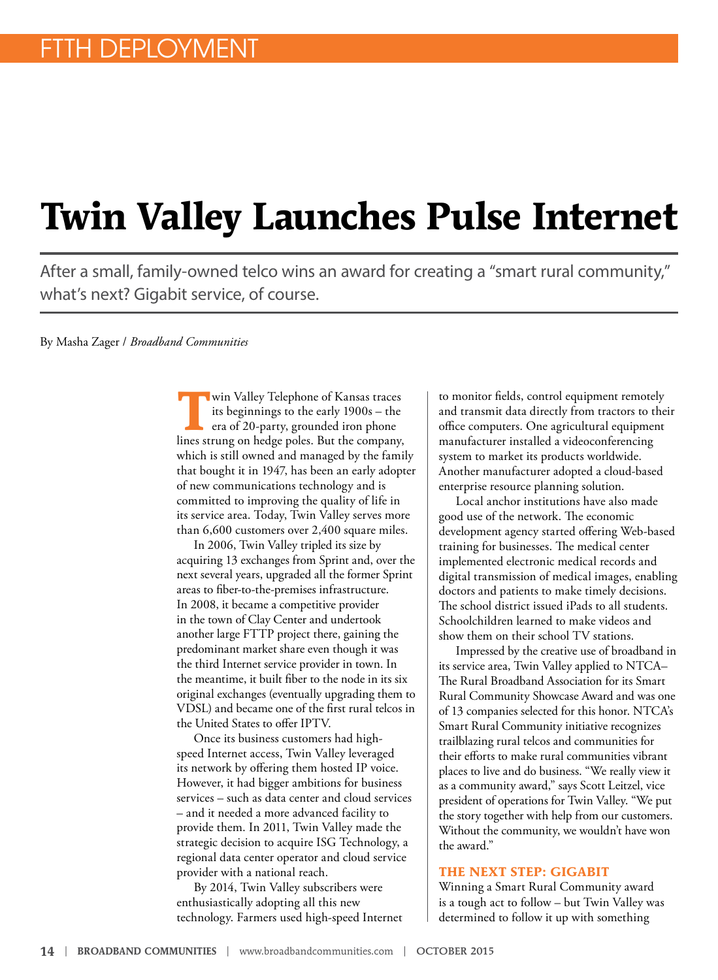## **Twin Valley Launches Pulse Internet**

After a small, family-owned telco wins an award for creating a "smart rural community," what's next? Gigabit service, of course.

By Masha Zager / *Broadband Communities*

**T**win Valley Telephone of Kansas traces<br>
its beginnings to the early 1900s – the<br>
era of 20-party, grounded iron phone<br>
lines strume on hades plate. But the semporary its beginnings to the early 1900s – the lines strung on hedge poles. But the company, which is still owned and managed by the family that bought it in 1947, has been an early adopter of new communications technology and is committed to improving the quality of life in its service area. Today, Twin Valley serves more than 6,600 customers over 2,400 square miles.

In 2006, Twin Valley tripled its size by acquiring 13 exchanges from Sprint and, over the next several years, upgraded all the former Sprint areas to fiber-to-the-premises infrastructure. In 2008, it became a competitive provider in the town of Clay Center and undertook another large FTTP project there, gaining the predominant market share even though it was the third Internet service provider in town. In the meantime, it built fiber to the node in its six original exchanges (eventually upgrading them to VDSL) and became one of the first rural telcos in the United States to offer IPTV.

Once its business customers had highspeed Internet access, Twin Valley leveraged its network by offering them hosted IP voice. However, it had bigger ambitions for business services – such as data center and cloud services – and it needed a more advanced facility to provide them. In 2011, Twin Valley made the strategic decision to acquire ISG Technology, a regional data center operator and cloud service provider with a national reach.

By 2014, Twin Valley subscribers were enthusiastically adopting all this new technology. Farmers used high-speed Internet to monitor fields, control equipment remotely and transmit data directly from tractors to their office computers. One agricultural equipment manufacturer installed a videoconferencing system to market its products worldwide. Another manufacturer adopted a cloud-based enterprise resource planning solution.

Local anchor institutions have also made good use of the network. The economic development agency started offering Web-based training for businesses. The medical center implemented electronic medical records and digital transmission of medical images, enabling doctors and patients to make timely decisions. The school district issued iPads to all students. Schoolchildren learned to make videos and show them on their school TV stations.

Impressed by the creative use of broadband in its service area, Twin Valley applied to NTCA– The Rural Broadband Association for its Smart Rural Community Showcase Award and was one of 13 companies selected for this honor. NTCA's Smart Rural Community initiative recognizes trailblazing rural telcos and communities for their efforts to make rural communities vibrant places to live and do business. "We really view it as a community award," says Scott Leitzel, vice president of operations for Twin Valley. "We put the story together with help from our customers. Without the community, we wouldn't have won the award."

## **THE NEXT STEP: GIGABIT**

Winning a Smart Rural Community award is a tough act to follow – but Twin Valley was determined to follow it up with something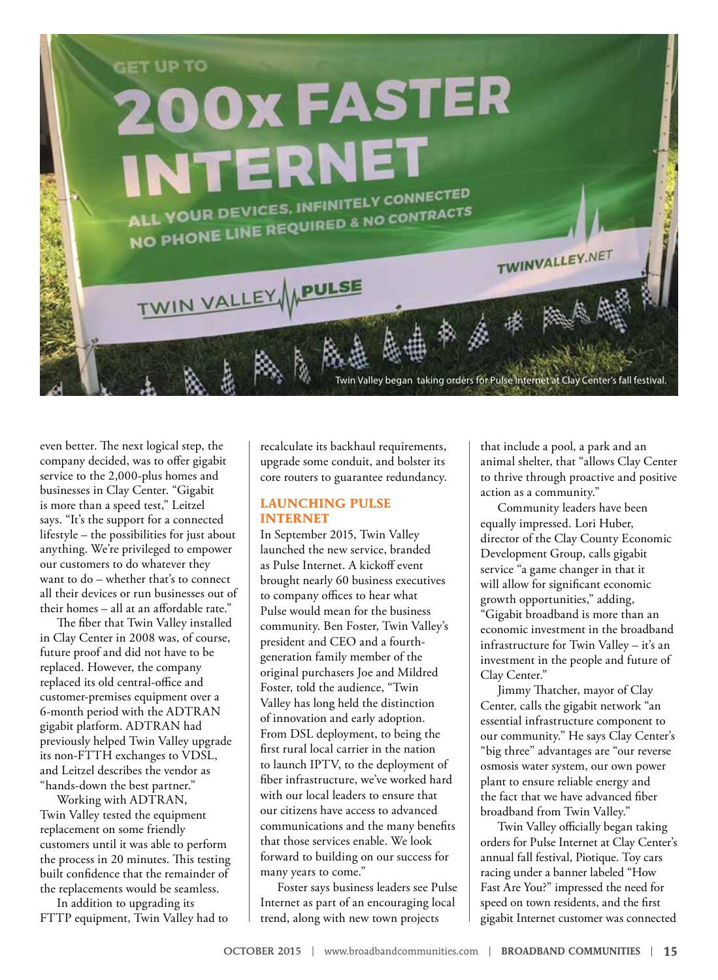

even better. The next logical step, the company decided, was to offer gigabit service to the 2,000-plus homes and businesses in Clay Center. "Gigabit is more than a speed test," Leitzel says. "It's the support for a connected lifestyle – the possibilities for just about anything. We're privileged to empower our customers to do whatever they want to do – whether that's to connect all their devices or run businesses out of their homes – all at an affordable rate."

The fiber that Twin Valley installed in Clay Center in 2008 was, of course, future proof and did not have to be replaced. However, the company replaced its old central-office and customer-premises equipment over a 6-month period with the ADTRAN gigabit platform. ADTRAN had previously helped Twin Valley upgrade its non-FTTH exchanges to VDSL, and Leitzel describes the vendor as "hands-down the best partner."

Working with ADTRAN, Twin Valley tested the equipment replacement on some friendly customers until it was able to perform the process in 20 minutes. This testing built confidence that the remainder of the replacements would be seamless.

In addition to upgrading its FTTP equipment, Twin Valley had to recalculate its backhaul requirements, upgrade some conduit, and bolster its core routers to guarantee redundancy.

## **LAUNCHING PULSE INTERNET**

In September 2015, Twin Valley launched the new service, branded as Pulse Internet. A kickoff event brought nearly 60 business executives to company offices to hear what Pulse would mean for the business community. Ben Foster, Twin Valley's president and CEO and a fourthgeneration family member of the original purchasers Joe and Mildred Foster, told the audience, "Twin Valley has long held the distinction of innovation and early adoption. From DSL deployment, to being the first rural local carrier in the nation to launch IPTV, to the deployment of fiber infrastructure, we've worked hard with our local leaders to ensure that our citizens have access to advanced communications and the many benefits that those services enable. We look forward to building on our success for many years to come."

Foster says business leaders see Pulse Internet as part of an encouraging local trend, along with new town projects

that include a pool, a park and an animal shelter, that "allows Clay Center to thrive through proactive and positive action as a community."

Community leaders have been equally impressed. Lori Huber, director of the Clay County Economic Development Group, calls gigabit service "a game changer in that it will allow for significant economic growth opportunities," adding, "Gigabit broadband is more than an economic investment in the broadband infrastructure for Twin Valley – it's an investment in the people and future of Clay Center."

Jimmy Thatcher, mayor of Clay Center, calls the gigabit network "an essential infrastructure component to our community." He says Clay Center's "big three" advantages are "our reverse osmosis water system, our own power plant to ensure reliable energy and the fact that we have advanced fiber broadband from Twin Valley."

Twin Valley officially began taking orders for Pulse Internet at Clay Center's annual fall festival, Piotique. Toy cars racing under a banner labeled "How Fast Are You?" impressed the need for speed on town residents, and the first gigabit Internet customer was connected